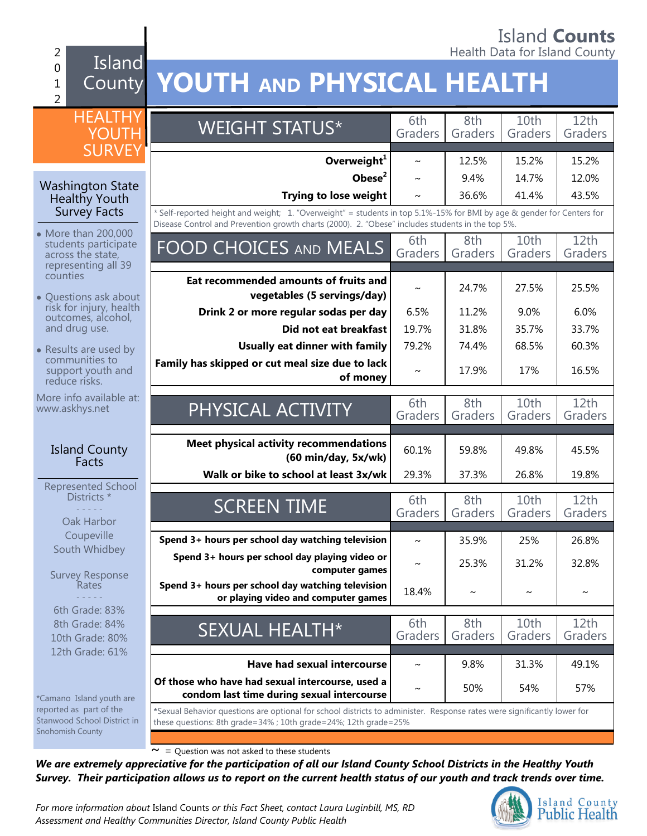#### 2 **Alternative County of the County of the County of the County of the County of the County of the County of the County of the County of the County of the County of the County of the County of the County of the County of t** Island 0 County **YOUTH AND PHYSICAL HEALTH** 1  $\overline{2}$ **HEALTHY** WEIGHT STATUS\* 6th 8th 10th 12th YOUT**H** Graders Graders Graders Graders **SURVEY Overweight<sup>1</sup>**  $\sim$  12.5% 15.2% 15.2% **Obese<sup>2</sup> |**  $\sim$  **| 9.4% | 14.7% | 12.0%** Washington State **Trying to lose weight**  $\sim$   $\frac{1}{36.6\%}$  41.4% 43.5% Healthy Youth Survey Facts *\** Self-reported height and weight; 1. "Overweight" = students in top 5.1%-15% for BMI by age & gender for Centers for Disease Control and Prevention growth charts (2000). 2. "Obese" includes students in the top 5%. • More than 200,000 8th  $10th$  $12th$ FOOD CHOICES AND MEALS Grade students participate Graders Graders Graders Graders across the state, representing all 39 counties **Eat recommended amounts of fruits and vegetables (5 servings/day)** <sup>~</sup> 24.7% 27.5% 25.5% Questions ask about  $\bullet$ risk for injury, health **Drink 2 or more regular sodas per day** | 6.5% | 11.2% | 9.0% | 6.0% outcomes, alcohol, and drug use. **Did not eat breakfast** | 19.7% | 31.8% | 35.7% | 33.7% **Usually eat dinner with family** 79.2% 74.4% 68.5% 60.3% • Results are used by communities to **Family has skipped or cut meal size due to lack**  support youth and **of money**  $\sim$  17.9% 17% 16.5% reduce risks. More info available at: PHYSICAL ACTIVITY 6th 8th 10th 12th www.askhys.net Graders Graders Graders Graders **Meet physical activity recommendations** Island County **(60 min/day, 5x/wk)** 60.1% 59.8% 49.8% 45.5% **Facts Walk or bike to school at least 3x/wk** 29.3% 26.37.3% 26.8% 29.8% Represented School Districts<sup>\*</sup> SCREEN TIME 6th 8th  $10th$ 12th - - - - - Graders Graders Graders Graders Oak Harbor **Coupeville Spend 3+ hours per school day watching television**  $\sim$  | 35.9% | 25% | 26.8% South Whidbey **Spend 3+ hours per school day playing video or computer games**  $\sim$  25.3% 31.2% 32.8% Survey Response **Spend 3+ hours per school day watching television**  Rates **or playing video and computer games**  $\begin{bmatrix} 18.4\% \\ 2.4\% \end{bmatrix}$   $\sim$   $\begin{bmatrix} 2 & 0 \\ 0 & -1 \end{bmatrix}$ - - - - - 6th Grade: 83% 12th SEXUAL HEALTH\* 6th 8th 10th 8th Grade: 84% Graders Graders Graders Graders 10th Grade: 80% 12th Grade: 61% **Have had sexual intercourse**  $\sim$  1 9.8% 31.3% 49.1% **Of those who have had sexual intercourse, used a condom last time during sexual intercourse**  $\begin{vmatrix} 2 & 50\% & 54\% \end{vmatrix}$  57% \*Camano Island youth are reported as part of the **\***Sexual Behavior questions are optional for school districts to administer. Response rates were significantly lower for Stanwood School District in these questions: 8th grade=34% ; 10th grade=24%; 12th grade=25% Snohomish County

 $\sim$  = Question was not asked to these students

*We are extremely appreciative for the participation of all our Island County School Districts in the Healthy Youth Survey. Their participation allows us to report on the current health status of our youth and track trends over time.*

*For more information about* Island Counts *or this Fact Sheet, contact Laura Luginbill, MS, RD Assessment and Healthy Communities Director, Island County Public Health* 

Island County **Public Health** 

# Island **Counts**